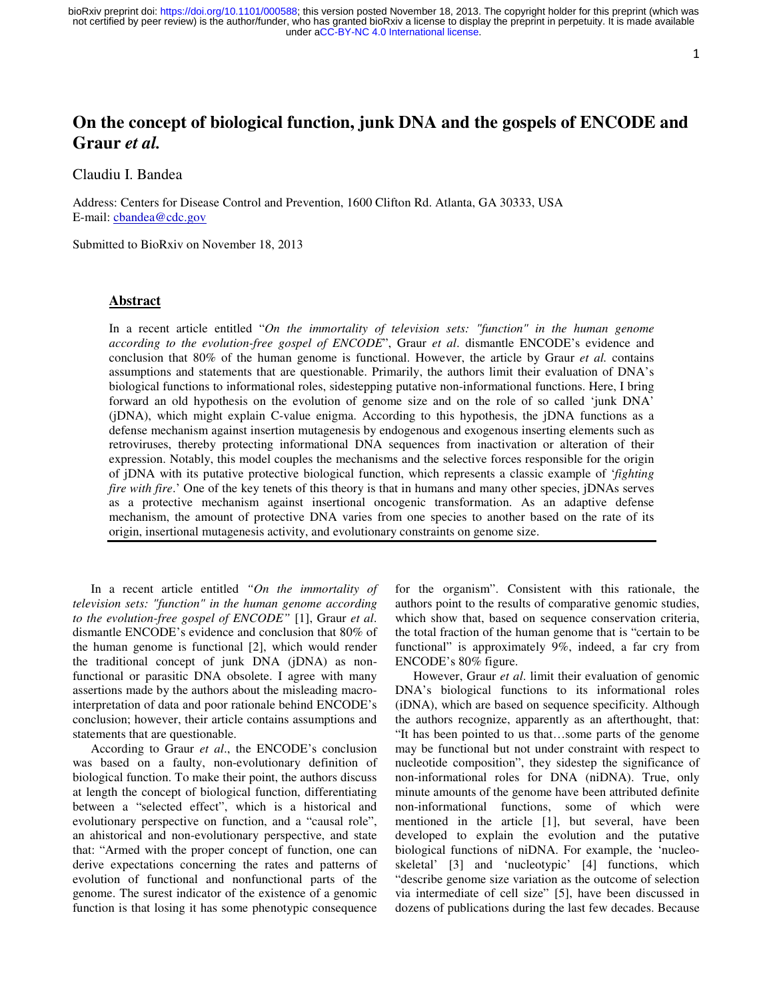1

# **On the concept of biological function, junk DNA and the gospels of ENCODE and Graur** *et al.*

Claudiu I. Bandea

Address: Centers for Disease Control and Prevention, 1600 Clifton Rd. Atlanta, GA 30333, USA E-mail: cbandea@cdc.gov

Submitted to BioRxiv on November 18, 2013

## **Abstract**

In a recent article entitled "*On the immortality of television sets: "function" in the human genome according to the evolution-free gospel of ENCODE*", Graur *et al*. dismantle ENCODE's evidence and conclusion that 80% of the human genome is functional. However, the article by Graur *et al.* contains assumptions and statements that are questionable. Primarily, the authors limit their evaluation of DNA's biological functions to informational roles, sidestepping putative non-informational functions. Here, I bring forward an old hypothesis on the evolution of genome size and on the role of so called 'junk DNA' (jDNA), which might explain C-value enigma. According to this hypothesis, the jDNA functions as a defense mechanism against insertion mutagenesis by endogenous and exogenous inserting elements such as retroviruses, thereby protecting informational DNA sequences from inactivation or alteration of their expression. Notably, this model couples the mechanisms and the selective forces responsible for the origin of jDNA with its putative protective biological function, which represents a classic example of '*fighting fire with fire*.' One of the key tenets of this theory is that in humans and many other species, *jDNAs serves* as a protective mechanism against insertional oncogenic transformation. As an adaptive defense mechanism, the amount of protective DNA varies from one species to another based on the rate of its origin, insertional mutagenesis activity, and evolutionary constraints on genome size.

In a recent article entitled *"On the immortality of television sets: "function" in the human genome according to the evolution-free gospel of ENCODE"* [1], Graur *et al*. dismantle ENCODE's evidence and conclusion that 80% of the human genome is functional [2], which would render the traditional concept of junk DNA (jDNA) as nonfunctional or parasitic DNA obsolete. I agree with many assertions made by the authors about the misleading macrointerpretation of data and poor rationale behind ENCODE's conclusion; however, their article contains assumptions and statements that are questionable.

According to Graur *et al*., the ENCODE's conclusion was based on a faulty, non-evolutionary definition of biological function. To make their point, the authors discuss at length the concept of biological function, differentiating between a "selected effect", which is a historical and evolutionary perspective on function, and a "causal role", an ahistorical and non-evolutionary perspective, and state that: "Armed with the proper concept of function, one can derive expectations concerning the rates and patterns of evolution of functional and nonfunctional parts of the genome. The surest indicator of the existence of a genomic function is that losing it has some phenotypic consequence for the organism". Consistent with this rationale, the authors point to the results of comparative genomic studies, which show that, based on sequence conservation criteria, the total fraction of the human genome that is "certain to be functional" is approximately 9%, indeed, a far cry from ENCODE's 80% figure.

However, Graur *et al*. limit their evaluation of genomic DNA's biological functions to its informational roles (iDNA), which are based on sequence specificity. Although the authors recognize, apparently as an afterthought, that: "It has been pointed to us that…some parts of the genome may be functional but not under constraint with respect to nucleotide composition", they sidestep the significance of non-informational roles for DNA (niDNA). True, only minute amounts of the genome have been attributed definite non-informational functions, some of which were mentioned in the article [1], but several, have been developed to explain the evolution and the putative biological functions of niDNA. For example, the 'nucleoskeletal' [3] and 'nucleotypic' [4] functions, which "describe genome size variation as the outcome of selection via intermediate of cell size" [5], have been discussed in dozens of publications during the last few decades. Because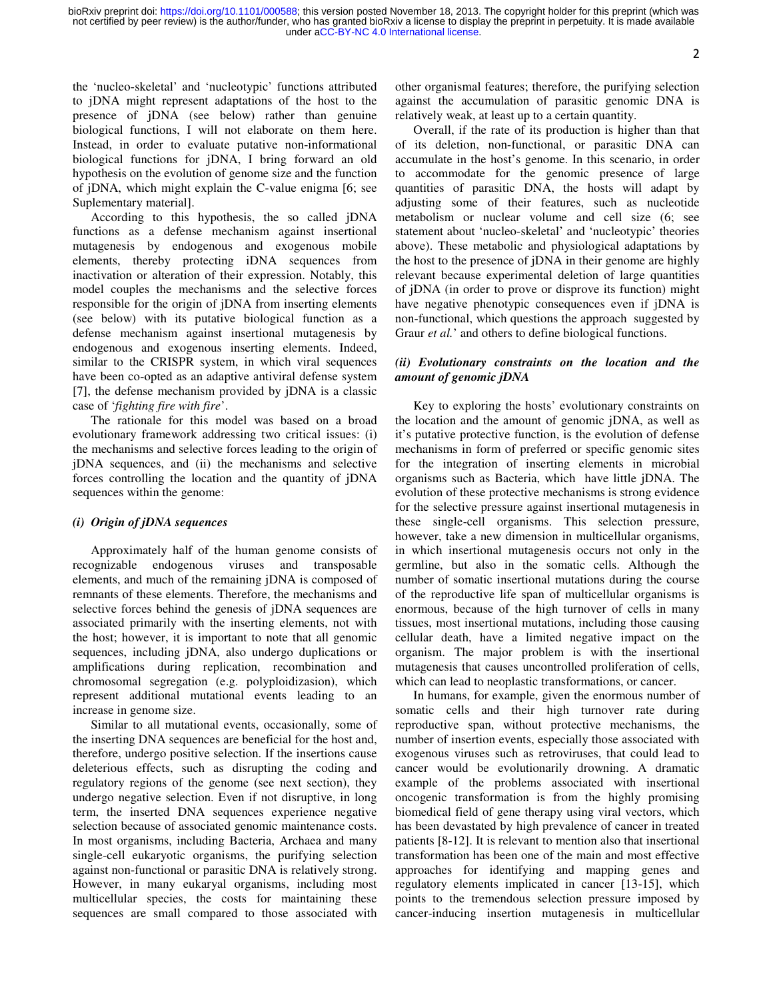under [aCC-BY-NC 4.0 International license.](http://creativecommons.org/licenses/by-nc/4.0/) not certified by peer review) is the author/funder, who has granted bioRxiv a license to display the preprint in perpetuity. It is made available bioRxiv preprint doi: [https://doi.org/10.1101/000588;](https://doi.org/10.1101/000588) this version posted November 18, 2013. The copyright holder for this preprint (which was

the 'nucleo-skeletal' and 'nucleotypic' functions attributed to jDNA might represent adaptations of the host to the presence of jDNA (see below) rather than genuine biological functions, I will not elaborate on them here. Instead, in order to evaluate putative non-informational biological functions for jDNA, I bring forward an old hypothesis on the evolution of genome size and the function of jDNA, which might explain the C-value enigma [6; see Suplementary material].

According to this hypothesis, the so called jDNA functions as a defense mechanism against insertional mutagenesis by endogenous and exogenous mobile elements, thereby protecting iDNA sequences from inactivation or alteration of their expression. Notably, this model couples the mechanisms and the selective forces responsible for the origin of jDNA from inserting elements (see below) with its putative biological function as a defense mechanism against insertional mutagenesis by endogenous and exogenous inserting elements. Indeed, similar to the CRISPR system, in which viral sequences have been co-opted as an adaptive antiviral defense system [7], the defense mechanism provided by jDNA is a classic case of '*fighting fire with fire*'.

The rationale for this model was based on a broad evolutionary framework addressing two critical issues: (i) the mechanisms and selective forces leading to the origin of jDNA sequences, and (ii) the mechanisms and selective forces controlling the location and the quantity of jDNA sequences within the genome:

### *(i) Origin of jDNA sequences*

Approximately half of the human genome consists of recognizable endogenous viruses and transposable elements, and much of the remaining jDNA is composed of remnants of these elements. Therefore, the mechanisms and selective forces behind the genesis of jDNA sequences are associated primarily with the inserting elements, not with the host; however, it is important to note that all genomic sequences, including jDNA, also undergo duplications or amplifications during replication, recombination and chromosomal segregation (e.g. polyploidizasion), which represent additional mutational events leading to an increase in genome size.

Similar to all mutational events, occasionally, some of the inserting DNA sequences are beneficial for the host and, therefore, undergo positive selection. If the insertions cause deleterious effects, such as disrupting the coding and regulatory regions of the genome (see next section), they undergo negative selection. Even if not disruptive, in long term, the inserted DNA sequences experience negative selection because of associated genomic maintenance costs. In most organisms, including Bacteria, Archaea and many single-cell eukaryotic organisms, the purifying selection against non-functional or parasitic DNA is relatively strong. However, in many eukaryal organisms, including most multicellular species, the costs for maintaining these sequences are small compared to those associated with other organismal features; therefore, the purifying selection against the accumulation of parasitic genomic DNA is relatively weak, at least up to a certain quantity.

Overall, if the rate of its production is higher than that of its deletion, non-functional, or parasitic DNA can accumulate in the host's genome. In this scenario, in order to accommodate for the genomic presence of large quantities of parasitic DNA, the hosts will adapt by adjusting some of their features, such as nucleotide metabolism or nuclear volume and cell size (6; see statement about 'nucleo-skeletal' and 'nucleotypic' theories above). These metabolic and physiological adaptations by the host to the presence of jDNA in their genome are highly relevant because experimental deletion of large quantities of jDNA (in order to prove or disprove its function) might have negative phenotypic consequences even if jDNA is non-functional, which questions the approach suggested by Graur *et al.*' and others to define biological functions.

# *(ii) Evolutionary constraints on the location and the amount of genomic jDNA*

Key to exploring the hosts' evolutionary constraints on the location and the amount of genomic jDNA, as well as it's putative protective function, is the evolution of defense mechanisms in form of preferred or specific genomic sites for the integration of inserting elements in microbial organisms such as Bacteria, which have little jDNA. The evolution of these protective mechanisms is strong evidence for the selective pressure against insertional mutagenesis in these single-cell organisms. This selection pressure, however, take a new dimension in multicellular organisms, in which insertional mutagenesis occurs not only in the germline, but also in the somatic cells. Although the number of somatic insertional mutations during the course of the reproductive life span of multicellular organisms is enormous, because of the high turnover of cells in many tissues, most insertional mutations, including those causing cellular death, have a limited negative impact on the organism. The major problem is with the insertional mutagenesis that causes uncontrolled proliferation of cells, which can lead to neoplastic transformations, or cancer.

In humans, for example, given the enormous number of somatic cells and their high turnover rate during reproductive span, without protective mechanisms, the number of insertion events, especially those associated with exogenous viruses such as retroviruses, that could lead to cancer would be evolutionarily drowning. A dramatic example of the problems associated with insertional oncogenic transformation is from the highly promising biomedical field of gene therapy using viral vectors, which has been devastated by high prevalence of cancer in treated patients [8-12]. It is relevant to mention also that insertional transformation has been one of the main and most effective approaches for identifying and mapping genes and regulatory elements implicated in cancer [13-15], which points to the tremendous selection pressure imposed by cancer-inducing insertion mutagenesis in multicellular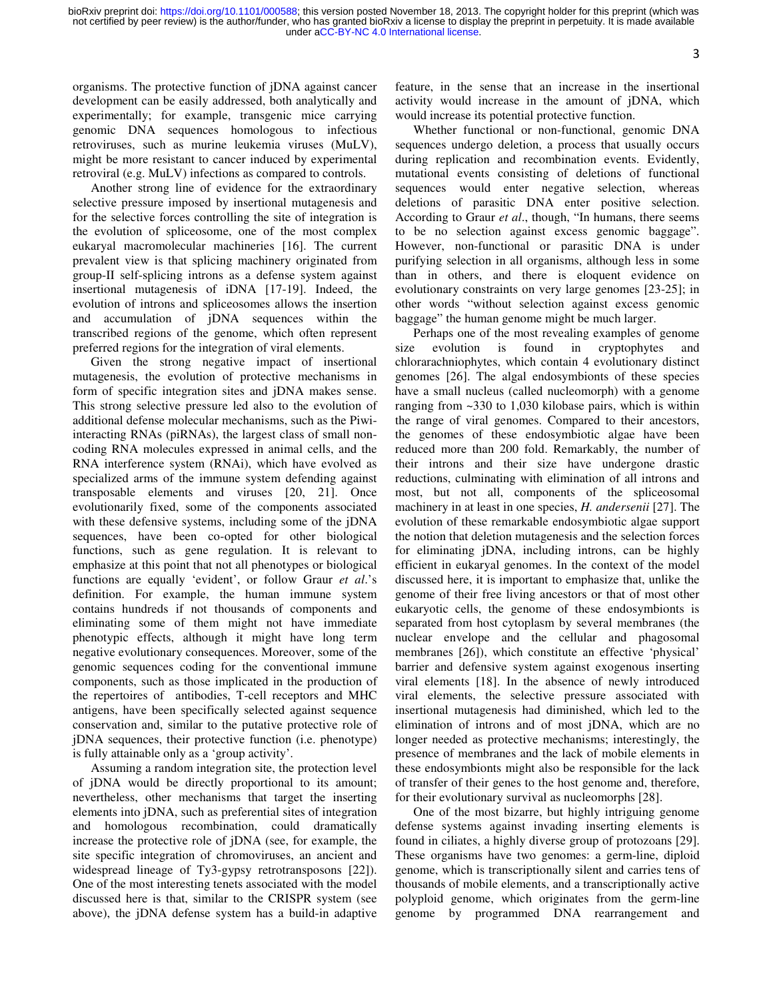3

organisms. The protective function of jDNA against cancer development can be easily addressed, both analytically and experimentally; for example, transgenic mice carrying genomic DNA sequences homologous to infectious retroviruses, such as murine leukemia viruses (MuLV), might be more resistant to cancer induced by experimental retroviral (e.g. MuLV) infections as compared to controls.

Another strong line of evidence for the extraordinary selective pressure imposed by insertional mutagenesis and for the selective forces controlling the site of integration is the evolution of spliceosome, one of the most complex eukaryal macromolecular machineries [16]. The current prevalent view is that splicing machinery originated from group-II self-splicing introns as a defense system against insertional mutagenesis of iDNA [17-19]. Indeed, the evolution of introns and spliceosomes allows the insertion and accumulation of jDNA sequences within the transcribed regions of the genome, which often represent preferred regions for the integration of viral elements.

Given the strong negative impact of insertional mutagenesis, the evolution of protective mechanisms in form of specific integration sites and jDNA makes sense. This strong selective pressure led also to the evolution of additional defense molecular mechanisms, such as the Piwiinteracting RNAs (piRNAs), the largest class of small noncoding RNA molecules expressed in animal cells, and the RNA interference system (RNAi), which have evolved as specialized arms of the immune system defending against transposable elements and viruses [20, 21]. Once evolutionarily fixed, some of the components associated with these defensive systems, including some of the jDNA sequences, have been co-opted for other biological functions, such as gene regulation. It is relevant to emphasize at this point that not all phenotypes or biological functions are equally 'evident', or follow Graur *et al*.'s definition. For example, the human immune system contains hundreds if not thousands of components and eliminating some of them might not have immediate phenotypic effects, although it might have long term negative evolutionary consequences. Moreover, some of the genomic sequences coding for the conventional immune components, such as those implicated in the production of the repertoires of antibodies, T-cell receptors and MHC antigens, have been specifically selected against sequence conservation and, similar to the putative protective role of jDNA sequences, their protective function (i.e. phenotype) is fully attainable only as a 'group activity'.

Assuming a random integration site, the protection level of jDNA would be directly proportional to its amount; nevertheless, other mechanisms that target the inserting elements into jDNA, such as preferential sites of integration and homologous recombination, could dramatically increase the protective role of jDNA (see, for example, the site specific integration of chromoviruses, an ancient and widespread lineage of Ty3-gypsy retrotransposons [22]). One of the most interesting tenets associated with the model discussed here is that, similar to the CRISPR system (see above), the jDNA defense system has a build-in adaptive feature, in the sense that an increase in the insertional activity would increase in the amount of jDNA, which would increase its potential protective function.

Whether functional or non-functional, genomic DNA sequences undergo deletion, a process that usually occurs during replication and recombination events. Evidently, mutational events consisting of deletions of functional sequences would enter negative selection, whereas deletions of parasitic DNA enter positive selection. According to Graur *et al*., though, "In humans, there seems to be no selection against excess genomic baggage". However, non-functional or parasitic DNA is under purifying selection in all organisms, although less in some than in others, and there is eloquent evidence on evolutionary constraints on very large genomes [23-25]; in other words "without selection against excess genomic baggage" the human genome might be much larger.

Perhaps one of the most revealing examples of genome size evolution is found in cryptophytes and chlorarachniophytes, which contain 4 evolutionary distinct genomes [26]. The algal endosymbionts of these species have a small nucleus (called nucleomorph) with a genome ranging from ~330 to 1,030 kilobase pairs, which is within the range of viral genomes. Compared to their ancestors, the genomes of these endosymbiotic algae have been reduced more than 200 fold. Remarkably, the number of their introns and their size have undergone drastic reductions, culminating with elimination of all introns and most, but not all, components of the spliceosomal machinery in at least in one species, *H. andersenii* [27]. The evolution of these remarkable endosymbiotic algae support the notion that deletion mutagenesis and the selection forces for eliminating jDNA, including introns, can be highly efficient in eukaryal genomes. In the context of the model discussed here, it is important to emphasize that, unlike the genome of their free living ancestors or that of most other eukaryotic cells, the genome of these endosymbionts is separated from host cytoplasm by several membranes (the nuclear envelope and the cellular and phagosomal membranes [26]), which constitute an effective 'physical' barrier and defensive system against exogenous inserting viral elements [18]. In the absence of newly introduced viral elements, the selective pressure associated with insertional mutagenesis had diminished, which led to the elimination of introns and of most jDNA, which are no longer needed as protective mechanisms; interestingly, the presence of membranes and the lack of mobile elements in these endosymbionts might also be responsible for the lack of transfer of their genes to the host genome and, therefore, for their evolutionary survival as nucleomorphs [28].

One of the most bizarre, but highly intriguing genome defense systems against invading inserting elements is found in ciliates, a highly diverse group of protozoans [29]. These organisms have two genomes: a germ-line, diploid genome, which is transcriptionally silent and carries tens of thousands of mobile elements, and a transcriptionally active polyploid genome, which originates from the germ-line genome by programmed DNA rearrangement and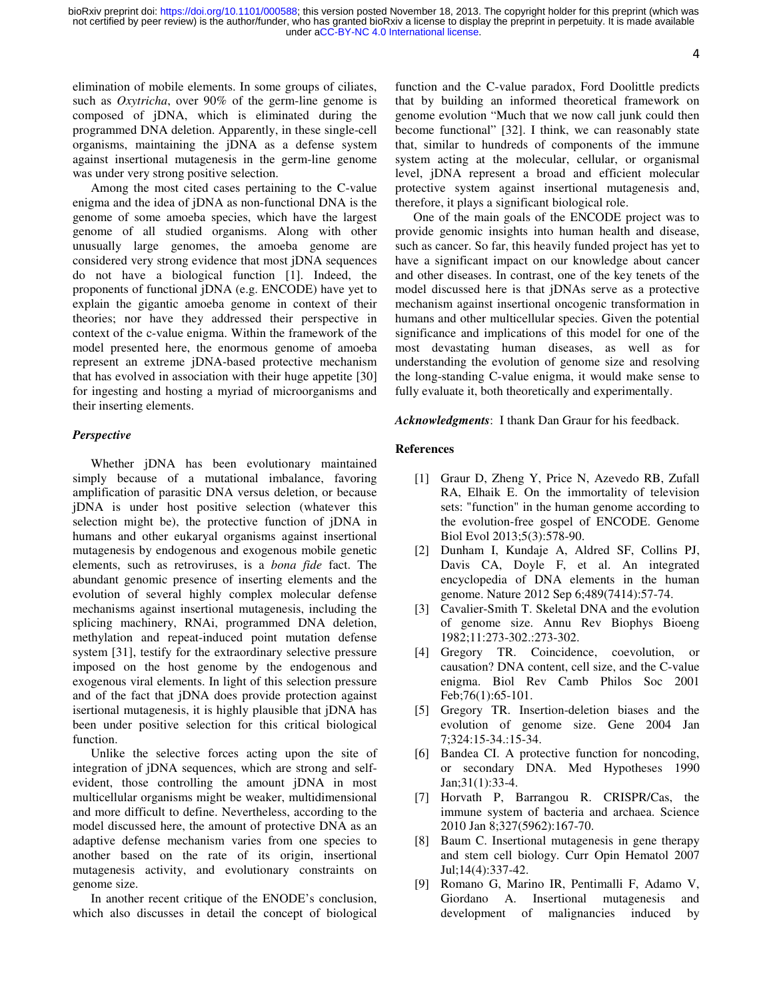under [aCC-BY-NC 4.0 International license.](http://creativecommons.org/licenses/by-nc/4.0/) not certified by peer review) is the author/funder, who has granted bioRxiv a license to display the preprint in perpetuity. It is made available bioRxiv preprint doi: [https://doi.org/10.1101/000588;](https://doi.org/10.1101/000588) this version posted November 18, 2013. The copyright holder for this preprint (which was

4

elimination of mobile elements. In some groups of ciliates, such as *Oxytricha*, over 90% of the germ-line genome is composed of jDNA, which is eliminated during the programmed DNA deletion. Apparently, in these single-cell organisms, maintaining the jDNA as a defense system against insertional mutagenesis in the germ-line genome was under very strong positive selection.

Among the most cited cases pertaining to the C-value enigma and the idea of jDNA as non-functional DNA is the genome of some amoeba species, which have the largest genome of all studied organisms. Along with other unusually large genomes, the amoeba genome are considered very strong evidence that most jDNA sequences do not have a biological function [1]. Indeed, the proponents of functional jDNA (e.g. ENCODE) have yet to explain the gigantic amoeba genome in context of their theories; nor have they addressed their perspective in context of the c-value enigma. Within the framework of the model presented here, the enormous genome of amoeba represent an extreme jDNA-based protective mechanism that has evolved in association with their huge appetite [30] for ingesting and hosting a myriad of microorganisms and their inserting elements.

### *Perspective*

Whether jDNA has been evolutionary maintained simply because of a mutational imbalance, favoring amplification of parasitic DNA versus deletion, or because jDNA is under host positive selection (whatever this selection might be), the protective function of jDNA in humans and other eukaryal organisms against insertional mutagenesis by endogenous and exogenous mobile genetic elements, such as retroviruses, is a *bona fide* fact. The abundant genomic presence of inserting elements and the evolution of several highly complex molecular defense mechanisms against insertional mutagenesis, including the splicing machinery, RNAi, programmed DNA deletion, methylation and repeat-induced point mutation defense system [31], testify for the extraordinary selective pressure imposed on the host genome by the endogenous and exogenous viral elements. In light of this selection pressure and of the fact that jDNA does provide protection against isertional mutagenesis, it is highly plausible that jDNA has been under positive selection for this critical biological function.

Unlike the selective forces acting upon the site of integration of jDNA sequences, which are strong and selfevident, those controlling the amount jDNA in most multicellular organisms might be weaker, multidimensional and more difficult to define. Nevertheless, according to the model discussed here, the amount of protective DNA as an adaptive defense mechanism varies from one species to another based on the rate of its origin, insertional mutagenesis activity, and evolutionary constraints on genome size.

In another recent critique of the ENODE's conclusion, which also discusses in detail the concept of biological function and the C-value paradox, Ford Doolittle predicts that by building an informed theoretical framework on genome evolution "Much that we now call junk could then become functional" [32]. I think, we can reasonably state that, similar to hundreds of components of the immune system acting at the molecular, cellular, or organismal level, jDNA represent a broad and efficient molecular protective system against insertional mutagenesis and, therefore, it plays a significant biological role.

One of the main goals of the ENCODE project was to provide genomic insights into human health and disease, such as cancer. So far, this heavily funded project has yet to have a significant impact on our knowledge about cancer and other diseases. In contrast, one of the key tenets of the model discussed here is that jDNAs serve as a protective mechanism against insertional oncogenic transformation in humans and other multicellular species. Given the potential significance and implications of this model for one of the most devastating human diseases, as well as for understanding the evolution of genome size and resolving the long-standing C-value enigma, it would make sense to fully evaluate it, both theoretically and experimentally.

*Acknowledgments*: I thank Dan Graur for his feedback.

## **References**

- [1] Graur D, Zheng Y, Price N, Azevedo RB, Zufall RA, Elhaik E. On the immortality of television sets: "function" in the human genome according to the evolution-free gospel of ENCODE. Genome Biol Evol 2013;5(3):578-90.
- [2] Dunham I, Kundaje A, Aldred SF, Collins PJ, Davis CA, Doyle F, et al. An integrated encyclopedia of DNA elements in the human genome. Nature 2012 Sep 6;489(7414):57-74.
- [3] Cavalier-Smith T. Skeletal DNA and the evolution of genome size. Annu Rev Biophys Bioeng 1982;11:273-302.:273-302.
- [4] Gregory TR. Coincidence, coevolution, or causation? DNA content, cell size, and the C-value enigma. Biol Rev Camb Philos Soc 2001 Feb;76(1):65-101.
- [5] Gregory TR. Insertion-deletion biases and the evolution of genome size. Gene 2004 Jan 7;324:15-34.:15-34.
- [6] Bandea CI. A protective function for noncoding, or secondary DNA. Med Hypotheses 1990 Jan;31(1):33-4.
- [7] Horvath P, Barrangou R. CRISPR/Cas, the immune system of bacteria and archaea. Science 2010 Jan 8;327(5962):167-70.
- [8] Baum C. Insertional mutagenesis in gene therapy and stem cell biology. Curr Opin Hematol 2007 Jul;14(4):337-42.
- [9] Romano G, Marino IR, Pentimalli F, Adamo V, Giordano A. Insertional mutagenesis and development of malignancies induced by